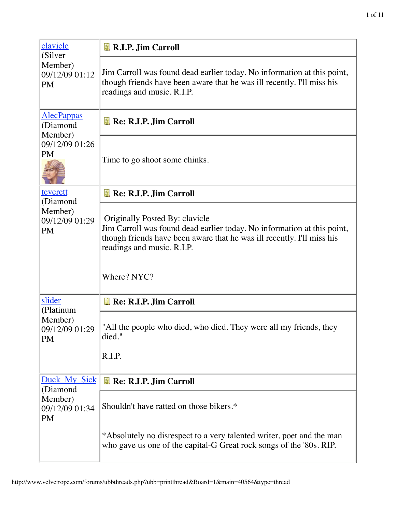| clavicle<br>(Silver                                                     | <b>R.I.P. Jim Carroll</b>                                                                                                                                                                                         |
|-------------------------------------------------------------------------|-------------------------------------------------------------------------------------------------------------------------------------------------------------------------------------------------------------------|
| Member)<br>09/12/09 01:12<br><b>PM</b>                                  | Jim Carroll was found dead earlier today. No information at this point,<br>though friends have been aware that he was ill recently. I'll miss his<br>readings and music. R.I.P.                                   |
| <b>AlecPappas</b><br>(Diamond<br>Member)<br>09/12/09 01:26<br><b>PM</b> | Re: R.I.P. Jim Carroll                                                                                                                                                                                            |
|                                                                         | Time to go shoot some chinks.                                                                                                                                                                                     |
| teverett                                                                | Re: R.I.P. Jim Carroll                                                                                                                                                                                            |
| (Diamond<br>Member)<br>09/12/09 01:29<br><b>PM</b>                      | Originally Posted By: clavicle<br>Jim Carroll was found dead earlier today. No information at this point,<br>though friends have been aware that he was ill recently. I'll miss his<br>readings and music. R.I.P. |
|                                                                         | Where? NYC?                                                                                                                                                                                                       |
| slider<br>(Platinum                                                     | Re: R.I.P. Jim Carroll                                                                                                                                                                                            |
| Member)<br>09/12/09 01:29<br><b>PM</b>                                  | "All the people who died, who died. They were all my friends, they<br>died."                                                                                                                                      |
|                                                                         | R.I.P.                                                                                                                                                                                                            |
| Duck My Sick<br>(Diamond<br>Member)<br>09/12/09 01:34<br><b>PM</b>      | Re: R.I.P. Jim Carroll                                                                                                                                                                                            |
|                                                                         | Shouldn't have ratted on those bikers.*                                                                                                                                                                           |
|                                                                         | *Absolutely no disrespect to a very talented writer, poet and the man<br>who gave us one of the capital-G Great rock songs of the '80s. RIP.                                                                      |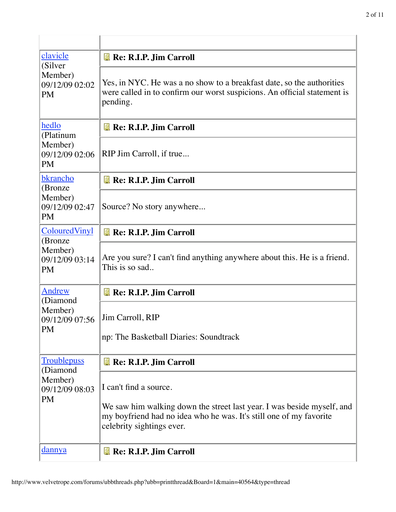| clavicle<br>(Silver<br>Member)<br>09/12/09 02:02<br><b>PM</b>            | Re: R.I.P. Jim Carroll                                                                                                                                                    |
|--------------------------------------------------------------------------|---------------------------------------------------------------------------------------------------------------------------------------------------------------------------|
|                                                                          | Yes, in NYC. He was a no show to a breakfast date, so the authorities<br>were called in to confirm our worst suspicions. An official statement is<br>pending.             |
| hedlo<br>(Platinum                                                       | Re: R.I.P. Jim Carroll                                                                                                                                                    |
| Member)<br>09/12/09 02:06<br><b>PM</b>                                   | RIP Jim Carroll, if true                                                                                                                                                  |
| bkrancho<br>(Bronze                                                      | Re: R.I.P. Jim Carroll                                                                                                                                                    |
| Member)<br>09/12/09 02:47<br><b>PM</b>                                   | Source? No story anywhere                                                                                                                                                 |
| <b>ColouredVinyl</b><br>(Bronze                                          | Re: R.I.P. Jim Carroll                                                                                                                                                    |
| Member)<br>09/12/09 03:14<br><b>PM</b>                                   | Are you sure? I can't find anything anywhere about this. He is a friend.<br>This is so sad                                                                                |
| Andrew<br>(Diamond<br>Member)<br>09/12/09 07:56<br><b>PM</b>             | Re: R.I.P. Jim Carroll                                                                                                                                                    |
|                                                                          | Jim Carroll, RIP                                                                                                                                                          |
|                                                                          | np: The Basketball Diaries: Soundtrack                                                                                                                                    |
| <b>Troublepuss</b><br>(Diamond<br>Member)<br>09/12/09 08:03<br><b>PM</b> | Re: R.I.P. Jim Carroll                                                                                                                                                    |
|                                                                          | I can't find a source.                                                                                                                                                    |
|                                                                          | We saw him walking down the street last year. I was beside myself, and<br>my boyfriend had no idea who he was. It's still one of my favorite<br>celebrity sightings ever. |
| <u>dannya</u>                                                            | Re: R.I.P. Jim Carroll                                                                                                                                                    |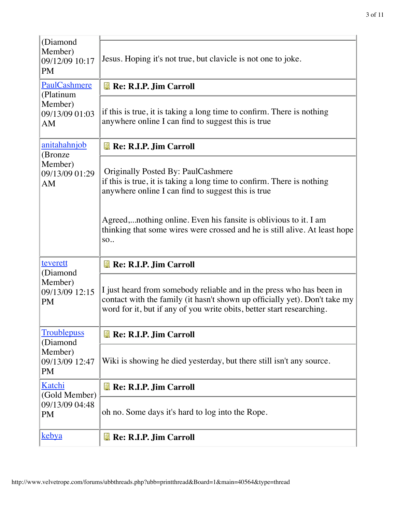| (Diamond<br>Member)<br>09/12/09 10:17<br><b>PM</b>                       | Jesus. Hoping it's not true, but clavicle is not one to joke.                                                                                                                                                               |
|--------------------------------------------------------------------------|-----------------------------------------------------------------------------------------------------------------------------------------------------------------------------------------------------------------------------|
| PaulCashmere                                                             | Re: R.I.P. Jim Carroll                                                                                                                                                                                                      |
| (Platinum<br>Member)<br>09/13/09 01:03<br>AM                             | if this is true, it is taking a long time to confirm. There is nothing<br>anywhere online I can find to suggest this is true                                                                                                |
| anitahahnjob                                                             | Re: R.I.P. Jim Carroll                                                                                                                                                                                                      |
| (Bronze<br>Member)<br>09/13/09 01:29<br>AM                               | Originally Posted By: PaulCashmere<br>if this is true, it is taking a long time to confirm. There is nothing<br>anywhere online I can find to suggest this is true                                                          |
|                                                                          | Agreed,nothing online. Even his fansite is oblivious to it. I am<br>thinking that some wires were crossed and he is still alive. At least hope<br>SO                                                                        |
| teverett<br>(Diamond                                                     | Re: R.I.P. Jim Carroll                                                                                                                                                                                                      |
| Member)<br>09/13/09 12:15<br><b>PM</b>                                   | I just heard from somebody reliable and in the press who has been in<br>contact with the family (it hasn't shown up officially yet). Don't take my<br>word for it, but if any of you write obits, better start researching. |
| <b>Troublepuss</b><br>(Diamond<br>Member)<br>09/13/09 12:47<br><b>PM</b> | Re: R.I.P. Jim Carroll                                                                                                                                                                                                      |
|                                                                          | Wiki is showing he died yesterday, but there still isn't any source.                                                                                                                                                        |
| Katchi<br>(Gold Member)<br>09/13/09 04:48<br><b>PM</b>                   | Re: R.I.P. Jim Carroll                                                                                                                                                                                                      |
|                                                                          | oh no. Some days it's hard to log into the Rope.                                                                                                                                                                            |
| <u>kebya</u>                                                             | Re: R.I.P. Jim Carroll                                                                                                                                                                                                      |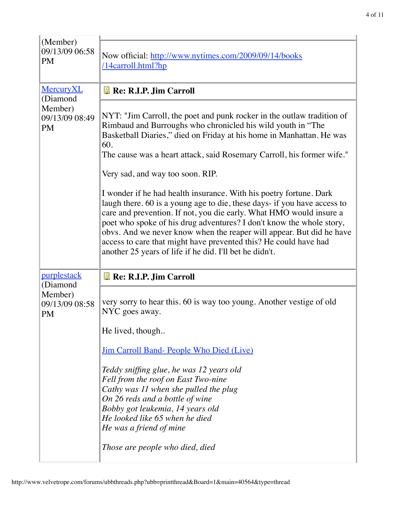| (Member)                                                               |                                                                                                                                                                                                                                                                                                                                                                                                                                                                                                      |
|------------------------------------------------------------------------|------------------------------------------------------------------------------------------------------------------------------------------------------------------------------------------------------------------------------------------------------------------------------------------------------------------------------------------------------------------------------------------------------------------------------------------------------------------------------------------------------|
| 09/13/09 06:58<br><b>PM</b>                                            | Now official: http://www.nytimes.com/2009/09/14/books<br>/14carroll.html?hp                                                                                                                                                                                                                                                                                                                                                                                                                          |
| <b>MercuryXL</b><br>(Diamond<br>Member)<br>09/13/09 08:49<br><b>PM</b> | <b>Re: R.I.P. Jim Carroll</b>                                                                                                                                                                                                                                                                                                                                                                                                                                                                        |
|                                                                        | NYT: "Jim Carroll, the poet and punk rocker in the outlaw tradition of<br>Rimbaud and Burroughs who chronicled his wild youth in "The<br>Basketball Diaries," died on Friday at his home in Manhattan. He was<br>60.<br>The cause was a heart attack, said Rosemary Carroll, his former wife."                                                                                                                                                                                                       |
|                                                                        | Very sad, and way too soon. RIP.                                                                                                                                                                                                                                                                                                                                                                                                                                                                     |
|                                                                        | I wonder if he had health insurance. With his poetry fortune. Dark<br>laugh there. 60 is a young age to die, these days- if you have access to<br>care and prevention. If not, you die early. What HMO would insure a<br>poet who spoke of his drug adventures? I don't know the whole story,<br>obvs. And we never know when the reaper will appear. But did he have<br>access to care that might have prevented this? He could have had<br>another 25 years of life if he did. I'll bet he didn't. |
| purplestack<br>(Diamond                                                | Re: R.I.P. Jim Carroll                                                                                                                                                                                                                                                                                                                                                                                                                                                                               |
| Member)<br>09/13/09 08:58<br><b>PM</b>                                 | very sorry to hear this. 60 is way too young. Another vestige of old<br>NYC goes away.                                                                                                                                                                                                                                                                                                                                                                                                               |
|                                                                        | He lived, though                                                                                                                                                                                                                                                                                                                                                                                                                                                                                     |
|                                                                        | <b>Jim Carroll Band- People Who Died (Live)</b>                                                                                                                                                                                                                                                                                                                                                                                                                                                      |
|                                                                        | Teddy sniffing glue, he was 12 years old<br>Fell from the roof on East Two-nine<br>Cathy was 11 when she pulled the plug<br>On 26 reds and a bottle of wine<br>Bobby got leukemia, 14 years old<br>He looked like 65 when he died<br>He was a friend of mine                                                                                                                                                                                                                                         |
|                                                                        | Those are people who died, died                                                                                                                                                                                                                                                                                                                                                                                                                                                                      |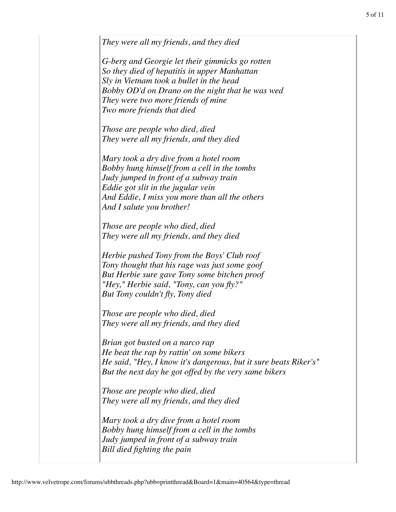*They were all my friends, and they died*

*G-berg and Georgie let their gimmicks go rotten So they died of hepatitis in upper Manhattan Sly in Vietnam took a bullet in the head Bobby OD'd on Drano on the night that he was wed They were two more friends of mine Two more friends that died*

*Those are people who died, died They were all my friends, and they died*

*Mary took a dry dive from a hotel room Bobby hung himself from a cell in the tombs Judy jumped in front of a subway train Eddie got slit in the jugular vein And Eddie, I miss you more than all the others And I salute you brother!*

*Those are people who died, died They were all my friends, and they died*

*Herbie pushed Tony from the Boys' Club roof Tony thought that his rage was just some goof But Herbie sure gave Tony some bitchen proof "Hey," Herbie said, "Tony, can you fly?" But Tony couldn't fly, Tony died*

*Those are people who died, died They were all my friends, and they died*

*Brian got busted on a narco rap He beat the rap by rattin' on some bikers He said, "Hey, I know it's dangerous, but it sure beats Riker's" But the next day he got offed by the very same bikers*

*Those are people who died, died They were all my friends, and they died*

*Mary took a dry dive from a hotel room Bobby hung himself from a cell in the tombs Judy jumped in front of a subway train Bill died fighting the pain*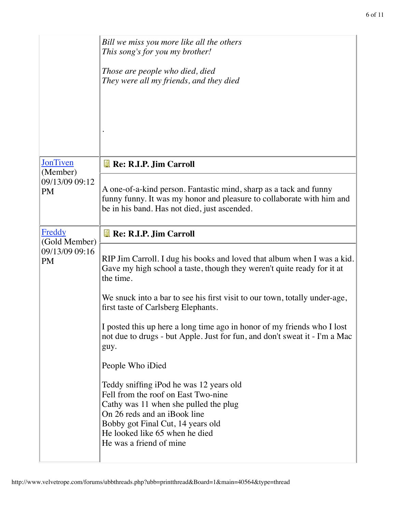|                                         | Bill we miss you more like all the others<br>This song's for you my brother!<br>Those are people who died, died<br>They were all my friends, and they died                                                                                                |
|-----------------------------------------|-----------------------------------------------------------------------------------------------------------------------------------------------------------------------------------------------------------------------------------------------------------|
| <b>JonTiven</b>                         | Re: R.I.P. Jim Carroll                                                                                                                                                                                                                                    |
| (Member)<br>09/13/09 09:12<br><b>PM</b> | A one-of-a-kind person. Fantastic mind, sharp as a tack and funny<br>funny funny. It was my honor and pleasure to collaborate with him and<br>be in his band. Has not died, just ascended.                                                                |
| Freddy<br>(Gold Member)                 | Re: R.I.P. Jim Carroll                                                                                                                                                                                                                                    |
| 09/13/09 09:16<br><b>PM</b>             | RIP Jim Carroll. I dug his books and loved that album when I was a kid.<br>Gave my high school a taste, though they weren't quite ready for it at<br>the time.                                                                                            |
|                                         | We snuck into a bar to see his first visit to our town, totally under-age,<br>first taste of Carlsberg Elephants.                                                                                                                                         |
|                                         | I posted this up here a long time ago in honor of my friends who I lost<br>not due to drugs - but Apple. Just for fun, and don't sweat it - I'm a Mac<br>guy.                                                                                             |
|                                         | People Who iDied                                                                                                                                                                                                                                          |
|                                         | Teddy sniffing iPod he was 12 years old<br>Fell from the roof on East Two-nine<br>Cathy was 11 when she pulled the plug<br>On 26 reds and an iBook line<br>Bobby got Final Cut, 14 years old<br>He looked like 65 when he died<br>He was a friend of mine |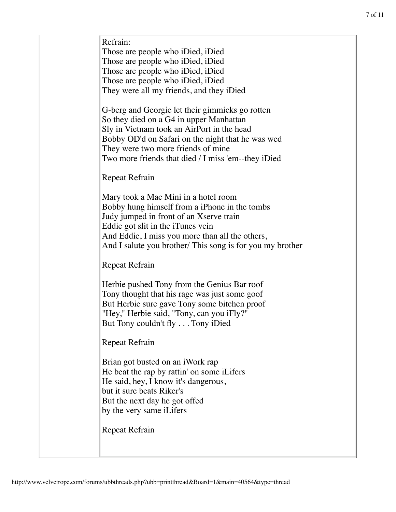Refrain: Those are people who iDied, iDied Those are people who iDied, iDied Those are people who iDied, iDied Those are people who iDied, iDied They were all my friends, and they iDied

G-berg and Georgie let their gimmicks go rotten So they died on a G4 in upper Manhattan Sly in Vietnam took an AirPort in the head Bobby OD'd on Safari on the night that he was wed They were two more friends of mine Two more friends that died / I miss 'em--they iDied

Repeat Refrain

Mary took a Mac Mini in a hotel room Bobby hung himself from a iPhone in the tombs Judy jumped in front of an Xserve train Eddie got slit in the iTunes vein And Eddie, I miss you more than all the others, And I salute you brother/ This song is for you my brother

Repeat Refrain

Herbie pushed Tony from the Genius Bar roof Tony thought that his rage was just some goof But Herbie sure gave Tony some bitchen proof "Hey," Herbie said, "Tony, can you iFly?" But Tony couldn't fly . . . Tony iDied

Repeat Refrain

Brian got busted on an iWork rap He beat the rap by rattin' on some iLifers He said, hey, I know it's dangerous, but it sure beats Riker's But the next day he got offed by the very same iLifers

Repeat Refrain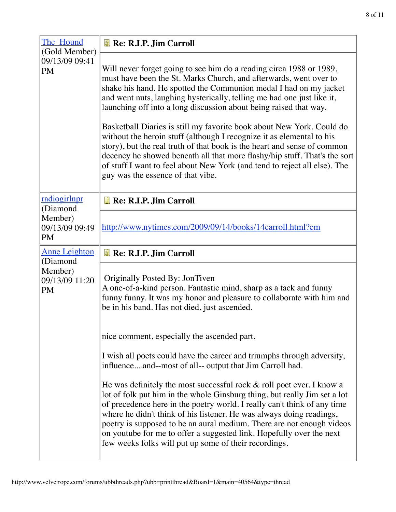| The Hound                                          | Re: R.I.P. Jim Carroll                                                                                                                                                                                                                                                                                                                                                                                                                                                                                                                                                                                                                                                                                                                                                                    |
|----------------------------------------------------|-------------------------------------------------------------------------------------------------------------------------------------------------------------------------------------------------------------------------------------------------------------------------------------------------------------------------------------------------------------------------------------------------------------------------------------------------------------------------------------------------------------------------------------------------------------------------------------------------------------------------------------------------------------------------------------------------------------------------------------------------------------------------------------------|
| (Gold Member)<br>09/13/09 09:41<br><b>PM</b>       | Will never forget going to see him do a reading circa 1988 or 1989,<br>must have been the St. Marks Church, and afterwards, went over to<br>shake his hand. He spotted the Communion medal I had on my jacket<br>and went nuts, laughing hysterically, telling me had one just like it,<br>launching off into a long discussion about being raised that way.<br>Basketball Diaries is still my favorite book about New York. Could do<br>without the heroin stuff (although I recognize it as elemental to his<br>story), but the real truth of that book is the heart and sense of common<br>decency he showed beneath all that more flashy/hip stuff. That's the sort<br>of stuff I want to feel about New York (and tend to reject all else). The<br>guy was the essence of that vibe. |
| radiogirlnpr                                       | Re: R.I.P. Jim Carroll                                                                                                                                                                                                                                                                                                                                                                                                                                                                                                                                                                                                                                                                                                                                                                    |
| (Diamond<br>Member)<br>09/13/09 09:49<br><b>PM</b> | http://www.nytimes.com/2009/09/14/books/14carroll.html?em                                                                                                                                                                                                                                                                                                                                                                                                                                                                                                                                                                                                                                                                                                                                 |
| <b>Anne Leighton</b><br>(Diamond                   | Re: R.I.P. Jim Carroll                                                                                                                                                                                                                                                                                                                                                                                                                                                                                                                                                                                                                                                                                                                                                                    |
| Member)<br>09/13/09 11:20<br><b>PM</b>             | Originally Posted By: JonTiven<br>A one-of-a-kind person. Fantastic mind, sharp as a tack and funny<br>funny funny. It was my honor and pleasure to collaborate with him and<br>be in his band. Has not died, just ascended.                                                                                                                                                                                                                                                                                                                                                                                                                                                                                                                                                              |
|                                                    | nice comment, especially the ascended part.                                                                                                                                                                                                                                                                                                                                                                                                                                                                                                                                                                                                                                                                                                                                               |
|                                                    | I wish all poets could have the career and triumphs through adversity,<br>influenceand--most of all-- output that Jim Carroll had.                                                                                                                                                                                                                                                                                                                                                                                                                                                                                                                                                                                                                                                        |
|                                                    | He was definitely the most successful rock $\&$ roll poet ever. I know a<br>lot of folk put him in the whole Ginsburg thing, but really Jim set a lot<br>of precedence here in the poetry world. I really can't think of any time<br>where he didn't think of his listener. He was always doing readings,<br>poetry is supposed to be an aural medium. There are not enough videos<br>on youtube for me to offer a suggested link. Hopefully over the next<br>few weeks folks will put up some of their recordings.                                                                                                                                                                                                                                                                       |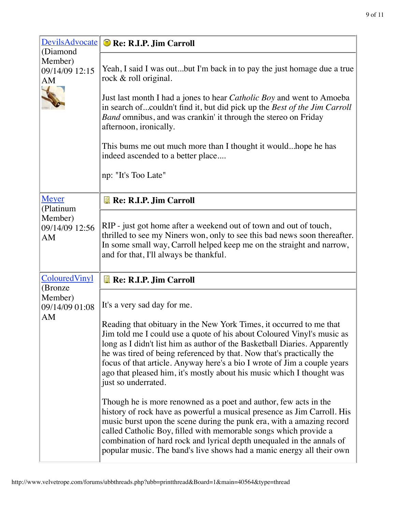| DevilsAdvocate                              | Re: R.I.P. Jim Carroll                                                                                                                                                                                                                                                                                                                                                                                                                                                                                        |
|---------------------------------------------|---------------------------------------------------------------------------------------------------------------------------------------------------------------------------------------------------------------------------------------------------------------------------------------------------------------------------------------------------------------------------------------------------------------------------------------------------------------------------------------------------------------|
| (Diamond<br>Member)<br>09/14/09 12:15<br>AM | Yeah, I said I was outbut I'm back in to pay the just homage due a true<br>rock & roll original.                                                                                                                                                                                                                                                                                                                                                                                                              |
|                                             | Just last month I had a jones to hear <i>Catholic Boy</i> and went to Amoeba<br>in search ofcouldn't find it, but did pick up the Best of the Jim Carroll<br>Band omnibus, and was crankin' it through the stereo on Friday<br>afternoon, ironically.                                                                                                                                                                                                                                                         |
|                                             | This bums me out much more than I thought it wouldhope he has<br>indeed ascended to a better place                                                                                                                                                                                                                                                                                                                                                                                                            |
|                                             | np: "It's Too Late"                                                                                                                                                                                                                                                                                                                                                                                                                                                                                           |
| Meyer<br>(Platinum                          | Re: R.I.P. Jim Carroll                                                                                                                                                                                                                                                                                                                                                                                                                                                                                        |
| Member)<br>09/14/09 12:56<br>AM             | RIP - just got home after a weekend out of town and out of touch,<br>thrilled to see my Niners won, only to see this bad news soon thereafter.<br>In some small way, Carroll helped keep me on the straight and narrow,<br>and for that, I'll always be thankful.                                                                                                                                                                                                                                             |
| <b>ColouredVinyl</b>                        | Re: R.I.P. Jim Carroll                                                                                                                                                                                                                                                                                                                                                                                                                                                                                        |
| (Bronze<br>Member)<br>09/14/09 01:08<br>AM  | It's a very sad day for me.<br>Reading that obituary in the New York Times, it occurred to me that<br>Jim told me I could use a quote of his about Coloured Vinyl's music as<br>long as I didn't list him as author of the Basketball Diaries. Apparently<br>he was tired of being referenced by that. Now that's practically the<br>focus of that article. Anyway here's a bio I wrote of Jim a couple years<br>ago that pleased him, it's mostly about his music which I thought was<br>just so underrated. |
|                                             | Though he is more renowned as a poet and author, few acts in the<br>history of rock have as powerful a musical presence as Jim Carroll. His<br>music burst upon the scene during the punk era, with a amazing record<br>called Catholic Boy, filled with memorable songs which provide a<br>combination of hard rock and lyrical depth unequaled in the annals of<br>popular music. The band's live shows had a manic energy all their own                                                                    |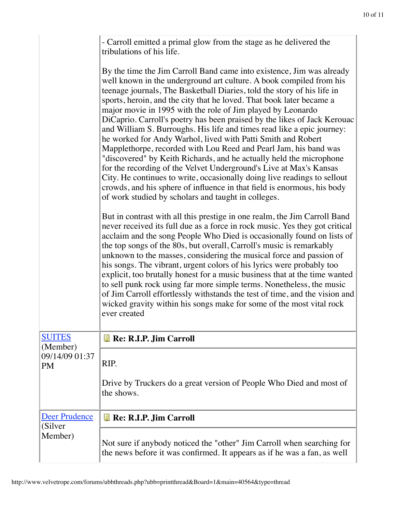|                                     | - Carroll emitted a primal glow from the stage as he delivered the<br>tribulations of his life.                                                                                                                                                                                                                                                                                                                                                                                                                                                                                                                                                                                                                                                                                                                                                                                                                                                                                                                     |
|-------------------------------------|---------------------------------------------------------------------------------------------------------------------------------------------------------------------------------------------------------------------------------------------------------------------------------------------------------------------------------------------------------------------------------------------------------------------------------------------------------------------------------------------------------------------------------------------------------------------------------------------------------------------------------------------------------------------------------------------------------------------------------------------------------------------------------------------------------------------------------------------------------------------------------------------------------------------------------------------------------------------------------------------------------------------|
|                                     | By the time the Jim Carroll Band came into existence, Jim was already<br>well known in the underground art culture. A book compiled from his<br>teenage journals, The Basketball Diaries, told the story of his life in<br>sports, heroin, and the city that he loved. That book later became a<br>major movie in 1995 with the role of Jim played by Leonardo<br>DiCaprio. Carroll's poetry has been praised by the likes of Jack Kerouac<br>and William S. Burroughs. His life and times read like a epic journey:<br>he worked for Andy Warhol, lived with Patti Smith and Robert<br>Mapplethorpe, recorded with Lou Reed and Pearl Jam, his band was<br>"discovered" by Keith Richards, and he actually held the microphone<br>for the recording of the Velvet Underground's Live at Max's Kansas<br>City. He continues to write, occasionally doing live readings to sellout<br>crowds, and his sphere of influence in that field is enormous, his body<br>of work studied by scholars and taught in colleges. |
|                                     | But in contrast with all this prestige in one realm, the Jim Carroll Band<br>never received its full due as a force in rock music. Yes they got critical<br>acclaim and the song People Who Died is occasionally found on lists of<br>the top songs of the 80s, but overall, Carroll's music is remarkably<br>unknown to the masses, considering the musical force and passion of<br>his songs. The vibrant, urgent colors of his lyrics were probably too<br>explicit, too brutally honest for a music business that at the time wanted<br>to sell punk rock using far more simple terms. Nonetheless, the music<br>of Jim Carroll effortlessly withstands the test of time, and the vision and<br>wicked gravity within his songs make for some of the most vital rock<br>ever created                                                                                                                                                                                                                            |
| <b>SUITES</b><br>(Member)           | Re: R.I.P. Jim Carroll                                                                                                                                                                                                                                                                                                                                                                                                                                                                                                                                                                                                                                                                                                                                                                                                                                                                                                                                                                                              |
| 09/14/09 01:37<br><b>PM</b>         | RIP.                                                                                                                                                                                                                                                                                                                                                                                                                                                                                                                                                                                                                                                                                                                                                                                                                                                                                                                                                                                                                |
|                                     | Drive by Truckers do a great version of People Who Died and most of<br>the shows.                                                                                                                                                                                                                                                                                                                                                                                                                                                                                                                                                                                                                                                                                                                                                                                                                                                                                                                                   |
| Deer Prudence<br>(Silver<br>Member) | Re: R.I.P. Jim Carroll                                                                                                                                                                                                                                                                                                                                                                                                                                                                                                                                                                                                                                                                                                                                                                                                                                                                                                                                                                                              |
|                                     | Not sure if anybody noticed the "other" Jim Carroll when searching for<br>the news before it was confirmed. It appears as if he was a fan, as well                                                                                                                                                                                                                                                                                                                                                                                                                                                                                                                                                                                                                                                                                                                                                                                                                                                                  |